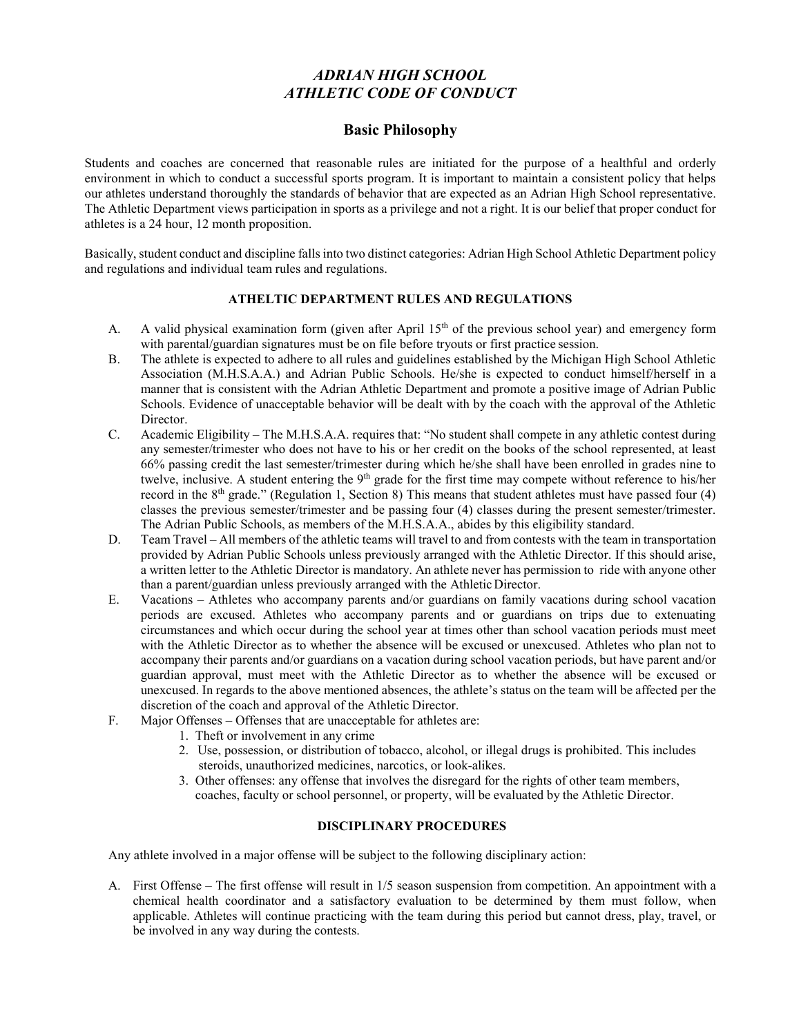# *ADRIAN HIGH SCHOOL ATHLETIC CODE OF CONDUCT*

## **Basic Philosophy**

Students and coaches are concerned that reasonable rules are initiated for the purpose of a healthful and orderly environment in which to conduct a successful sports program. It is important to maintain a consistent policy that helps our athletes understand thoroughly the standards of behavior that are expected as an Adrian High School representative. The Athletic Department views participation in sports as a privilege and not a right. It is our belief that proper conduct for athletes is a 24 hour, 12 month proposition.

Basically, student conduct and discipline falls into two distinct categories: Adrian High School Athletic Department policy and regulations and individual team rules and regulations.

#### **ATHELTIC DEPARTMENT RULES AND REGULATIONS**

- A. A valid physical examination form (given after April  $15<sup>th</sup>$  of the previous school year) and emergency form with parental/guardian signatures must be on file before tryouts or first practice session.
- B. The athlete is expected to adhere to all rules and guidelines established by the Michigan High School Athletic Association (M.H.S.A.A.) and Adrian Public Schools. He/she is expected to conduct himself/herself in a manner that is consistent with the Adrian Athletic Department and promote a positive image of Adrian Public Schools. Evidence of unacceptable behavior will be dealt with by the coach with the approval of the Athletic Director.
- C. Academic Eligibility The M.H.S.A.A. requires that: "No student shall compete in any athletic contest during any semester/trimester who does not have to his or her credit on the books of the school represented, at least 66% passing credit the last semester/trimester during which he/she shall have been enrolled in grades nine to twelve, inclusive. A student entering the 9<sup>th</sup> grade for the first time may compete without reference to his/her record in the 8th grade." (Regulation 1, Section 8) This means that student athletes must have passed four (4) classes the previous semester/trimester and be passing four (4) classes during the present semester/trimester. The Adrian Public Schools, as members of the M.H.S.A.A., abides by this eligibility standard.
- D. Team Travel All members of the athletic teams will travel to and from contests with the team in transportation provided by Adrian Public Schools unless previously arranged with the Athletic Director. If this should arise, a written letter to the Athletic Director is mandatory. An athlete never has permission to ride with anyone other than a parent/guardian unless previously arranged with the Athletic Director.
- E. Vacations Athletes who accompany parents and/or guardians on family vacations during school vacation periods are excused. Athletes who accompany parents and or guardians on trips due to extenuating circumstances and which occur during the school year at times other than school vacation periods must meet with the Athletic Director as to whether the absence will be excused or unexcused. Athletes who plan not to accompany their parents and/or guardians on a vacation during school vacation periods, but have parent and/or guardian approval, must meet with the Athletic Director as to whether the absence will be excused or unexcused. In regards to the above mentioned absences, the athlete's status on the team will be affected per the discretion of the coach and approval of the Athletic Director.
- F. Major Offenses Offenses that are unacceptable for athletes are:
	- 1. Theft or involvement in any crime
	- 2. Use, possession, or distribution of tobacco, alcohol, or illegal drugs is prohibited. This includes steroids, unauthorized medicines, narcotics, or look-alikes.
	- 3. Other offenses: any offense that involves the disregard for the rights of other team members, coaches, faculty or school personnel, or property, will be evaluated by the Athletic Director.

#### **DISCIPLINARY PROCEDURES**

Any athlete involved in a major offense will be subject to the following disciplinary action:

A. First Offense – The first offense will result in 1/5 season suspension from competition. An appointment with a chemical health coordinator and a satisfactory evaluation to be determined by them must follow, when applicable. Athletes will continue practicing with the team during this period but cannot dress, play, travel, or be involved in any way during the contests.